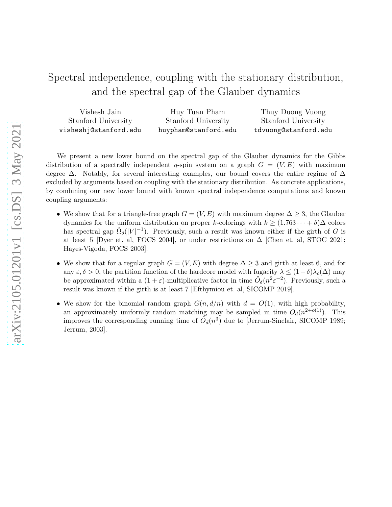# Spectral independence, coupling with the stationary distribution, and the spectral gap of the Glauber dynamics

| Vishesh Jain          | Huy Tuan Pham        | Thuy Duong Vuong     |
|-----------------------|----------------------|----------------------|
| Stanford University   | Stanford University  | Stanford University  |
| visheshj@stanford.edu | huypham@stanford.edu | tdvuong@stanford.edu |

We present a new lower bound on the spectral gap of the Glauber dynamics for the Gibbs distribution of a spectrally independent q-spin system on a graph  $G = (V, E)$  with maximum degree ∆. Notably, for several interesting examples, our bound covers the entire regime of ∆ excluded by arguments based on coupling with the stationary distribution. As concrete applications, by combining our new lower bound with known spectral independence computations and known coupling arguments:

- We show that for a triangle-free graph  $G = (V, E)$  with maximum degree  $\Delta \geq 3$ , the Glauber dynamics for the uniform distribution on proper k-colorings with  $k \geq (1.763 \cdots + \delta) \Delta$  colors has spectral gap  $\tilde{\Omega}_{\delta}(|V|^{-1})$ . Previously, such a result was known either if the girth of G is at least 5 [Dyer et. al, FOCS 2004], or under restrictions on  $\Delta$  [Chen et. al, STOC 2021; Hayes-Vigoda, FOCS 2003].
- We show that for a regular graph  $G = (V, E)$  with degree  $\Delta \geq 3$  and girth at least 6, and for any  $\varepsilon, \delta > 0$ , the partition function of the hardcore model with fugacity  $\lambda \leq (1-\delta)\lambda_c(\Delta)$  may be approximated within a  $(1+\varepsilon)$ -multiplicative factor in time  $\tilde{O}_{\delta}(n^2 \varepsilon^{-2})$ . Previously, such a result was known if the girth is at least 7 [Efthymiou et. al, SICOMP 2019].
- We show for the binomial random graph  $G(n, d/n)$  with  $d = O(1)$ , with high probability, an approximately uniformly random matching may be sampled in time  $O_d(n^{2+o(1)})$ . This improves the corresponding running time of  $\tilde{O}_d(n^3)$  due to [Jerrum-Sinclair, SICOMP 1989; Jerrum, 2003].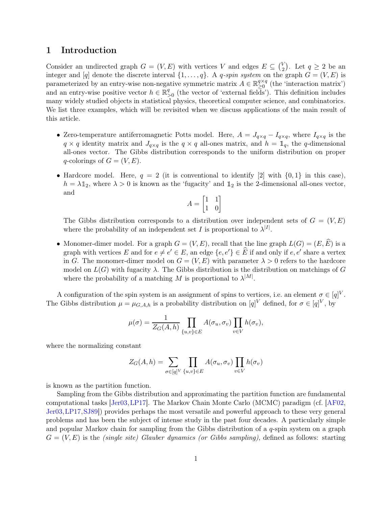## 1 Introduction

Consider an undirected graph  $G = (V, E)$  with vertices V and edges  $E \subseteq {V \choose 2}$  $\binom{V}{2}$ . Let  $q \geq 2$  be an integer and [q] denote the discrete interval  $\{1, \ldots, q\}$ . A q-spin system on the graph  $G = (V, E)$  is parameterized by an entry-wise non-negative symmetric matrix  $A \in \mathbb{R}_{\geq 0}^{q \times q}$  $\sum_{i=0}^{q \times q}$  (the 'interaction matrix') and an entry-wise positive vector  $h \in \mathbb{R}^q$  $\frac{q}{\geq 0}$  (the vector of 'external fields'). This definition includes many widely studied objects in statistical physics, theoretical computer science, and combinatorics. We list three examples, which will be revisited when we discuss applications of the main result of this article.

- Zero-temperature antiferromagnetic Potts model. Here,  $A = J_{q \times q} I_{q \times q}$ , where  $I_{q \times q}$  is the  $q \times q$  identity matrix and  $J_{q \times q}$  is the  $q \times q$  all-ones matrix, and  $h = \mathbb{1}_q$ , the q-dimensional all-ones vector. The Gibbs distribution corresponds to the uniform distribution on proper q-colorings of  $G = (V, E)$ .
- Hardcore model. Here,  $q = 2$  (it is conventional to identify [2] with  $\{0, 1\}$  in this case),  $h = \lambda \mathbb{1}_2$ , where  $\lambda > 0$  is known as the 'fugacity' and  $\mathbb{1}_2$  is the 2-dimensional all-ones vector, and

$$
A = \begin{bmatrix} 1 & 1 \\ 1 & 0 \end{bmatrix}
$$

The Gibbs distribution corresponds to a distribution over independent sets of  $G = (V, E)$ where the probability of an independent set I is proportional to  $\lambda^{|I|}$ .

• Monomer-dimer model. For a graph  $G = (V, E)$ , recall that the line graph  $L(G) = (E, \widehat{E})$  is a graph with vertices E and for  $e \neq e' \in E$ , an edge  $\{e, e'\} \in E$  if and only if  $e, e'$  share a vertex in G. The monomer-dimer model on  $G = (V, E)$  with parameter  $\lambda > 0$  refers to the hardcore model on  $L(G)$  with fugacity  $\lambda$ . The Gibbs distribution is the distribution on matchings of G where the probability of a matching M is proportional to  $\lambda^{|M|}$ .

A configuration of the spin system is an assignment of spins to vertices, i.e. an element  $\sigma \in [q]^V$ . The Gibbs distribution  $\mu = \mu_{G,A,h}$  is a probability distribution on  $[q]^V$  defined, for  $\sigma \in [q]^V$ , by

$$
\mu(\sigma) = \frac{1}{Z_G(A, h)} \prod_{\{u, v\} \in E} A(\sigma_u, \sigma_v) \prod_{v \in V} h(\sigma_v),
$$

where the normalizing constant

$$
Z_G(A, h) = \sum_{\sigma \in [q]^V} \prod_{\{u, v\} \in E} A(\sigma_u, \sigma_v) \prod_{v \in V} h(\sigma_v)
$$

is known as the partition function.

Sampling from the Gibbs distribution and approximating the partition function are fundamental computational tasks [\[Jer03,](#page-18-0)[LP17\]](#page-18-1). The Markov Chain Monte Carlo (MCMC) paradigm (cf. [\[AF02,](#page-16-0) [Jer03,](#page-18-0)[LP17,](#page-18-1)[SJ89\]](#page-18-2)) provides perhaps the most versatile and powerful approach to these very general problems and has been the subject of intense study in the past four decades. A particularly simple and popular Markov chain for sampling from the Gibbs distribution of a  $q$ -spin system on a graph  $G = (V, E)$  is the *(single site) Glauber dynamics (or Gibbs sampling)*, defined as follows: starting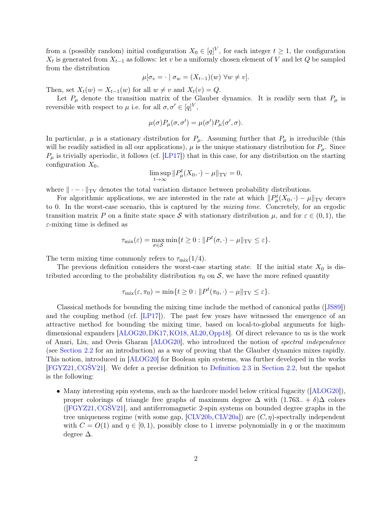from a (possibly random) initial configuration  $X_0 \in [q]^V$ , for each integer  $t \geq 1$ , the configuration  $X_t$  is generated from  $X_{t-1}$  as follows: let v be a uniformly chosen element of V and let Q be sampled from the distribution

$$
\mu[\sigma_v = \cdot \mid \sigma_w = (X_{t-1})(w) \,\,\forall w \neq v].
$$

Then, set  $X_t(w) = X_{t-1}(w)$  for all  $w \neq v$  and  $X_t(v) = Q$ .

Let  $P_{\mu}$  denote the transition matrix of the Glauber dynamics. It is readily seen that  $P_{\mu}$  is reversible with respect to  $\mu$  i.e. for all  $\sigma, \sigma' \in [q]^V$ ,

$$
\mu(\sigma)P_{\mu}(\sigma,\sigma') = \mu(\sigma')P_{\mu}(\sigma',\sigma).
$$

In particular,  $\mu$  is a stationary distribution for  $P_{\mu}$ . Assuming further that  $P_{\mu}$  is irreducible (this will be readily satisfied in all our applications),  $\mu$  is the unique stationary distribution for  $P_{\mu}$ . Since  $P_{\mu}$  is trivially aperiodic, it follows (cf. [\[LP17\]](#page-18-1)) that in this case, for any distribution on the starting configuration  $X_0$ ,

$$
\limsup_{t \to \infty} ||P^t_\mu(X_0, \cdot) - \mu||_{\text{TV}} = 0,
$$

where  $\|\cdot - \cdot\|_{TV}$  denotes the total variation distance between probability distributions.

For algorithmic applications, we are interested in the rate at which  $||P^t_\mu(X_0, \cdot) - \mu||_{TV}$  decays to 0. In the worst-case scenario, this is captured by the *mixing time*. Concretely, for an ergodic transition matrix P on a finite state space S with stationary distribution  $\mu$ , and for  $\varepsilon \in (0,1)$ , the  $\varepsilon$ -mixing time is defined as

$$
\tau_{\text{mix}}(\varepsilon) = \max_{\sigma \in \mathcal{S}} \min\{t \ge 0 : ||P^t(\sigma, \cdot) - \mu||_{\text{TV}} \le \varepsilon\}.
$$

The term mixing time commonly refers to  $\tau_{\text{mix}}(1/4)$ .

The previous definition considers the worst-case starting state. If the initial state  $X_0$  is distributed according to the probability distribution  $\pi_0$  on S, we have the more refined quantity

$$
\tau_{\text{mix}}(\varepsilon, \pi_0) = \min\{t \ge 0 : ||P^t(\pi_0, \cdot) - \mu||_{\text{TV}} \le \varepsilon\}.
$$

Classical methods for bounding the mixing time include the method of canonical paths ([\[JS89\]](#page-18-3)) and the coupling method (cf. [\[LP17\]](#page-18-1)). The past few years have witnessed the emergence of an attractive method for bounding the mixing time, based on local-to-global arguments for highdimensional expanders  $\vert$ ALOG20, [DK17,](#page-17-1) [KO18,](#page-18-4) [AL20,](#page-16-1) Opp18. Of direct relevance to us is the work of Anari, Liu, and Oveis Gharan [\[ALOG20\]](#page-17-0), who introduced the notion of *spectral independence* (see [Section 2.2](#page-7-0) for an introduction) as a way of proving that the Glauber dynamics mixes rapidly. This notion, introduced in [\[ALOG20\]](#page-17-0) for Boolean spin systems, was further developed in the works [\[FGYZ21,](#page-17-2) [CGŠV21\]](#page-17-3). We defer a precise definition to [Definition 2.3](#page-8-0) in [Section 2.2,](#page-7-0) but the upshot is the following:

• Many interesting spin systems, such as the hardcore model below critical fugacity ([\[ALOG20\]](#page-17-0)), proper colorings of triangle free graphs of maximum degree  $\Delta$  with  $(1.763.. + \delta)\Delta$  colors  $(FGYZ21, CGSV21]$ , and antiferromagnetic 2-spin systems on bounded degree graphs in the tree uniqueness regime (with some gap,  $[CLV20b, CLV20a]$  $[CLV20b, CLV20a]$ ) are  $(C, \eta)$ -spectrally independent with  $C = O(1)$  and  $\eta \in [0, 1)$ , possibly close to 1 inverse polynomially in q or the maximum degree ∆.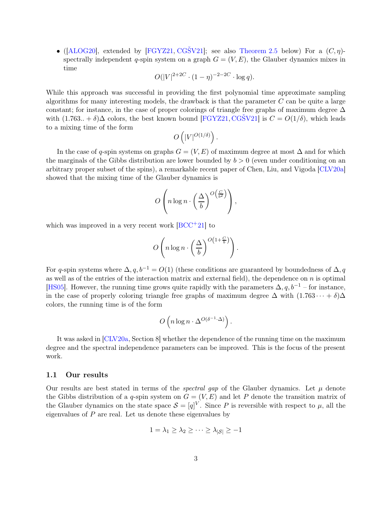• ([\[ALOG20\]](#page-17-0), extended by [\[FGYZ21,](#page-17-2) CGSV21]; see also [Theorem 2.5](#page-8-1) below) For a  $(C, \eta)$ spectrally independent q-spin system on a graph  $G = (V, E)$ , the Glauber dynamics mixes in time

$$
O(|V|^{2+2C} \cdot (1-\eta)^{-2-2C} \cdot \log q).
$$

While this approach was successful in providing the first polynomial time approximate sampling algorithms for many interesting models, the drawback is that the parameter  $C$  can be quite a large constant; for instance, in the case of proper colorings of triangle free graphs of maximum degree  $\Delta$ with  $(1.763.. + \delta)\Delta$  colors, the best known bound [\[FGYZ21,](#page-17-2) CGSV21] is  $C = O(1/\delta)$ , which leads to a mixing time of the form

$$
O\left(|V|^{O(1/\delta)}\right).
$$

In the case of q-spin systems on graphs  $G = (V, E)$  of maximum degree at most  $\Delta$  and for which the marginals of the Gibbs distribution are lower bounded by  $b > 0$  (even under conditioning on an arbitrary proper subset of the spins), a remarkable recent paper of Chen, Liu, and Vigoda [\[CLV20a\]](#page-17-5) showed that the mixing time of the Glauber dynamics is

$$
O\left(n\log n \cdot \left(\frac{\Delta}{b}\right)^{O\left(\frac{C}{b^2}\right)}\right),\,
$$

which was improved in a very recent work  $[BCC^+21]$  to

$$
O\left(n\log n \cdot \left(\frac{\Delta}{b}\right)^{O\left(1+\frac{C}{b}\right)}\right).
$$

For q-spin systems where  $\Delta$ ,  $q$ ,  $b^{-1} = O(1)$  (these conditions are guaranteed by boundedness of  $\Delta$ , q as well as of the entries of the interaction matrix and external field), the dependence on  $n$  is optimal [\[HS05\]](#page-17-7). However, the running time grows quite rapidly with the parameters  $\Delta, q, b^{-1}$  – for instance, in the case of properly coloring triangle free graphs of maximum degree  $\Delta$  with  $(1.763 \cdots + \delta)\Delta$ colors, the running time is of the form

$$
O\left(n\log n\cdot \Delta^{O(\delta^{-1}\cdot \Delta)}\right).
$$

It was asked in [\[CLV20a,](#page-17-5) Section 8] whether the dependence of the running time on the maximum degree and the spectral independence parameters can be improved. This is the focus of the present work.

#### 1.1 Our results

Our results are best stated in terms of the *spectral gap* of the Glauber dynamics. Let  $\mu$  denote the Gibbs distribution of a q-spin system on  $G = (V, E)$  and let P denote the transition matrix of the Glauber dynamics on the state space  $S = [q]^V$ . Since P is reversible with respect to  $\mu$ , all the eigenvalues of  $P$  are real. Let us denote these eigenvalues by

$$
1 = \lambda_1 \geq \lambda_2 \geq \cdots \geq \lambda_{|\mathcal{S}|} \geq -1
$$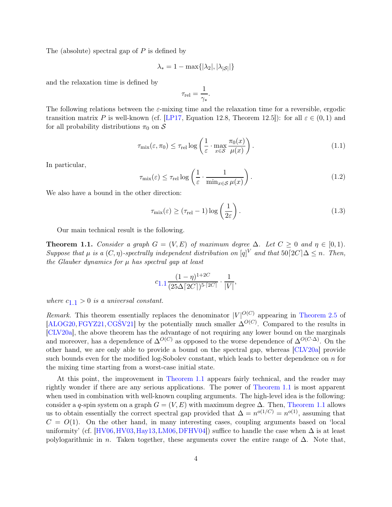The (absolute) spectral gap of  $P$  is defined by

$$
\lambda_* = 1 - \max\{|\lambda_2|, |\lambda_{|\mathcal{S}|}|\}
$$

and the relaxation time is defined by

$$
\tau_{\rm rel} = \frac{1}{\gamma_*}.
$$

The following relations between the  $\varepsilon$ -mixing time and the relaxation time for a reversible, ergodic transition matrix P is well-known (cf. [\[LP17,](#page-18-1) Equation 12.8, Theorem 12.5]): for all  $\varepsilon \in (0,1)$  and for all probability distributions  $\pi_0$  on S

<span id="page-4-2"></span>
$$
\tau_{\text{mix}}(\varepsilon, \pi_0) \le \tau_{\text{rel}} \log \left( \frac{1}{\varepsilon} \cdot \max_{x \in \mathcal{S}} \frac{\pi_0(x)}{\mu(x)} \right). \tag{1.1}
$$

In particular,

$$
\tau_{\text{mix}}(\varepsilon) \le \tau_{\text{rel}} \log \left( \frac{1}{\varepsilon} \cdot \frac{1}{\min_{x \in \mathcal{S}} \mu(x)} \right). \tag{1.2}
$$

We also have a bound in the other direction:

<span id="page-4-1"></span>
$$
\tau_{\text{mix}}(\varepsilon) \ge (\tau_{\text{rel}} - 1) \log \left( \frac{1}{2\varepsilon} \right). \tag{1.3}
$$

<span id="page-4-0"></span>Our main technical result is the following.

**Theorem 1.1.** *Consider a graph*  $G = (V, E)$  *of maximum degree*  $\Delta$ *. Let*  $C \geq 0$  *and*  $\eta \in [0, 1)$ *. Suppose that*  $\mu$  *is a*  $(C, \eta)$ *-spectrally independent distribution on*  $[q]^V$  *and that*  $50[2C]\Delta \leq n$ *. Then, the Glauber dynamics for* µ *has spectral gap at least*

$$
c_{1.1} \frac{(1-\eta)^{1+2C}}{(25\Delta \lceil 2C \rceil)^{5 \cdot \lceil 2C \rceil}} \cdot \frac{1}{|V|},
$$

*where*  $c_{1,1} > 0$  $c_{1,1} > 0$  $c_{1,1} > 0$  *is a universal constant.* 

*Remark.* This theorem essentially replaces the denominator  $|V|^{O(C)}$  appearing in [Theorem 2.5](#page-8-1) of  $[ALOG20, FGYZ21, CG\text{\r{S}}V21]$  $[ALOG20, FGYZ21, CG\text{\r{S}}V21]$  $[ALOG20, FGYZ21, CG\text{\r{S}}V21]$  $[ALOG20, FGYZ21, CG\text{\r{S}}V21]$  by the potentially much smaller  $\Delta^{O(C)}$ . Compared to the results in [\[CLV20a\]](#page-17-5), the above theorem has the advantage of not requiring any lower bound on the marginals and moreover, has a dependence of  $\Delta^{O(C)}$  as opposed to the worse dependence of  $\Delta^{O(C\cdot\Delta)}$ . On the other hand, we are only able to provide a bound on the spectral gap, whereas [\[CLV20a\]](#page-17-5) provide such bounds even for the modified log-Sobolev constant, which leads to better dependence on  $n$  for the mixing time starting from a worst-case initial state.

At this point, the improvement in [Theorem 1.1](#page-4-0) appears fairly technical, and the reader may rightly wonder if there are any serious applications. The power of [Theorem 1.1](#page-4-0) is most apparent when used in combination with well-known coupling arguments. The high-level idea is the following: consider a q-spin system on a graph  $G = (V, E)$  with maximum degree  $\Delta$ . Then, [Theorem 1.1](#page-4-0) allows us to obtain essentially the correct spectral gap provided that  $\Delta = n^{o(1/C)} = n^{o(1)}$ , assuming that  $C = O(1)$ . On the other hand, in many interesting cases, coupling arguments based on 'local uniformity' (cf. [\[HV06,](#page-17-8)[HV03,](#page-17-9) [Hay13,](#page-17-10)[LM06,](#page-18-6)[DFHV04\]](#page-17-11)) suffice to handle the case when  $\Delta$  is at least polylogarithmic in *n*. Taken together, these arguments cover the entire range of  $\Delta$ . Note that,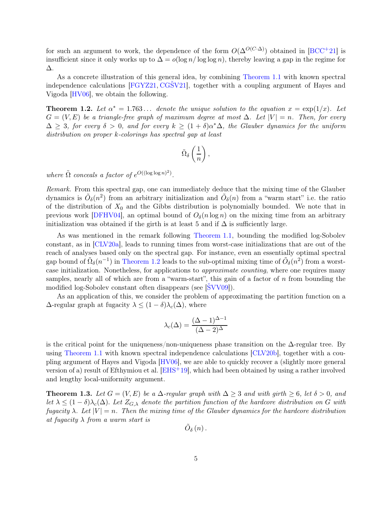for such an argument to work, the dependence of the form  $O(\Delta^{O(C\cdot\Delta)})$  obtained in [\[BCC](#page-17-6)+21] is insufficient since it only works up to  $\Delta = o(\log n / \log \log n)$ , thereby leaving a gap in the regime for ∆.

As a concrete illustration of this general idea, by combining [Theorem 1.1](#page-4-0) with known spectral independence calculations [\[FGYZ21,](#page-17-2) [CGŠV21\]](#page-17-3), together with a coupling argument of Hayes and Vigoda [\[HV06\]](#page-17-8), we obtain the following.

<span id="page-5-0"></span>**Theorem 1.2.** Let  $\alpha^* = 1.763...$  denote the unique solution to the equation  $x = \exp(1/x)$ . Let  $G = (V, E)$  be a triangle-free graph of maximum degree at most  $\Delta$ . Let  $|V| = n$ . Then, for every  $\Delta$  ≥ 3*, for every*  $\delta$  > 0*, and for every*  $k$  ≥  $(1 + \delta)\alpha^*\Delta$ *, the Glauber dynamics for the uniform distribution on proper* k*-colorings has spectral gap at least*

$$
\tilde{\Omega}_\delta\left(\frac{1}{n}\right),
$$

where  $\tilde{\Omega}$  *conceals a factor of*  $e^{O((\log \log n)^2)}$ .

*Remark.* From this spectral gap, one can immediately deduce that the mixing time of the Glauber dynamics is  $\tilde{O}_\delta(n^2)$  from an arbitrary initialization and  $\tilde{O}_\delta(n)$  from a "warm start" i.e. the ratio of the distribution of  $X_0$  and the Gibbs distribution is polynomially bounded. We note that in previous work [\[DFHV04\]](#page-17-11), an optimal bound of  $O_\delta(n \log n)$  on the mixing time from an arbitrary initialization was obtained if the girth is at least 5 and if  $\Delta$  is sufficiently large.

As was mentioned in the remark following [Theorem 1.1,](#page-4-0) bounding the modified log-Sobolev constant, as in [\[CLV20a\]](#page-17-5), leads to running times from worst-case initializations that are out of the reach of analyses based only on the spectral gap. For instance, even an essentially optimal spectral gap bound of  $\tilde{\Omega}_{\delta}(n^{-1})$  in [Theorem 1.2](#page-5-0) leads to the sub-optimal mixing time of  $\tilde{O}_{\delta}(n^2)$  from a worstcase initialization. Nonetheless, for applications to *approximate counting*, where one requires many samples, nearly all of which are from a "warm-start", this gain of a factor of n from bounding the modified log-Sobolev constant often disappears (see [\[ŠVV09\]](#page-18-7)).

As an application of this, we consider the problem of approximating the partition function on a  $\Delta$ -regular graph at fugacity  $\lambda \leq (1 - \delta)\lambda_c(\Delta)$ , where

$$
\lambda_c(\Delta) = \frac{(\Delta - 1)^{\Delta - 1}}{(\Delta - 2)^{\Delta}}
$$

is the critical point for the uniqueness/non-uniqueness phase transition on the  $\Delta$ -regular tree. By using [Theorem 1.1](#page-4-0) with known spectral independence calculations [\[CLV20b\]](#page-17-4), together with a coupling argument of Hayes and Vigoda [\[HV06\]](#page-17-8), we are able to quickly recover a (slightly more general version of a) result of Efthymiou et al. [\[EHS](#page-17-12)+19], which had been obtained by using a rather involved and lengthy local-uniformity argument.

<span id="page-5-1"></span>**Theorem 1.3.** Let  $G = (V, E)$  be a  $\Delta$ -regular graph with  $\Delta \geq 3$  and with girth  $\geq 6$ , let  $\delta > 0$ , and *let*  $\lambda \leq (1 - \delta) \lambda_c(\Delta)$ . Let  $Z_{G,\lambda}$  denote the partition function of the hardcore distribution on G with *fugacity*  $\lambda$ *. Let*  $|V| = n$ *. Then the mixing time of the Glauber dynamics for the hardcore distribution at fugacity* λ *from a warm start is*

$$
\tilde{O}_{\delta}\left( n\right) .
$$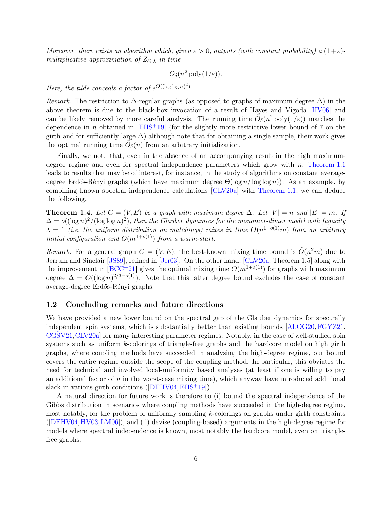*Moreover, there exists an algorithm which, given*  $\varepsilon > 0$ , *outputs (with constant probability) a*  $(1+\varepsilon)$ *multiplicative approximation of*  $Z_{G,\lambda}$  *in time* 

$$
\tilde{O}_{\delta}(n^2 \text{ poly}(1/\varepsilon)).
$$

*Here, the tilde conceals a factor of*  $e^{O((\log \log n)^2)}$ .

*Remark.* The restriction to  $\Delta$ -regular graphs (as opposed to graphs of maximum degree  $\Delta$ ) in the above theorem is due to the black-box invocation of a result of Hayes and Vigoda [\[HV06\]](#page-17-8) and can be likely removed by more careful analysis. The running time  $\tilde{O}_{\delta}(n^2 \text{ poly}(1/\varepsilon))$  matches the dependence in n obtained in  $[EHS+19]$  (for the slightly more restrictive lower bound of 7 on the girth and for sufficiently large  $\Delta$ ) although note that for obtaining a single sample, their work gives the optimal running time  $\tilde{O}_{\delta}(n)$  from an arbitrary initialization.

Finally, we note that, even in the absence of an accompanying result in the high maximumdegree regime and even for spectral independence parameters which grow with  $n$ , [Theorem 1.1](#page-4-0) leads to results that may be of interest, for instance, in the study of algorithms on constant averagedegree Erdős-Rényi graphs (which have maximum degree  $\Theta(\log n / \log \log n)$ ). As an example, by combining known spectral independence calculations [\[CLV20a\]](#page-17-5) with [Theorem 1.1,](#page-4-0) we can deduce the following.

<span id="page-6-0"></span>**Theorem 1.4.** Let  $G = (V, E)$  be a graph with maximum degree  $\Delta$ . Let  $|V| = n$  and  $|E| = m$ . If  $\Delta = o((\log n)^2/(\log \log n)^2)$ , then the Glauber dynamics for the monomer-dimer model with fugacity  $\lambda = 1$  (*i.e. the uniform distribution on matchings*) mixes in time  $O(n^{1+o(1)}m)$  from an arbitrary *initial configuration and*  $O(m^{1+o(1)})$  *from a warm-start.* 

*Remark.* For a general graph  $G = (V, E)$ , the best-known mixing time bound is  $\tilde{O}(n^2m)$  due to Jerrum and Sinclair [\[JS89\]](#page-18-3), refined in [\[Jer03\]](#page-18-0). On the other hand, [\[CLV20a,](#page-17-5) Theorem 1.5] along with the improvement in [\[BCC](#page-17-6)+21] gives the optimal mixing time  $O(m^{1+o(1)})$  for graphs with maximum degree  $\Delta = O((\log n)^{2/3-o(1)})$ . Note that this latter degree bound excludes the case of constant average-degree Erdős-Rényi graphs.

#### 1.2 Concluding remarks and future directions

We have provided a new lower bound on the spectral gap of the Glauber dynamics for spectrally independent spin systems, which is substantially better than existing bounds [\[ALOG20,](#page-17-0)[FGYZ21,](#page-17-2) [CGŠV21,](#page-17-3)[CLV20a\]](#page-17-5) for many interesting parameter regimes. Notably, in the case of well-studied spin systems such as uniform k-colorings of triangle-free graphs and the hardcore model on high girth graphs, where coupling methods have succeeded in analysing the high-degree regime, our bound covers the entire regime outside the scope of the coupling method. In particular, this obviates the need for technical and involved local-uniformity based analyses (at least if one is willing to pay an additional factor of  $n$  in the worst-case mixing time), which anyway have introduced additional slack in various girth conditions  $([DFHV04, EHS<sup>+</sup>19])$  $([DFHV04, EHS<sup>+</sup>19])$  $([DFHV04, EHS<sup>+</sup>19])$  $([DFHV04, EHS<sup>+</sup>19])$  $([DFHV04, EHS<sup>+</sup>19])$ .

A natural direction for future work is therefore to (i) bound the spectral independence of the Gibbs distribution in scenarios where coupling methods have succeeded in the high-degree regime, most notably, for the problem of uniformly sampling  $k$ -colorings on graphs under girth constraints ([\[DFHV04,](#page-17-11)[HV03,](#page-17-9)[LM06\]](#page-18-6)), and (ii) devise (coupling-based) arguments in the high-degree regime for models where spectral independence is known, most notably the hardcore model, even on trianglefree graphs.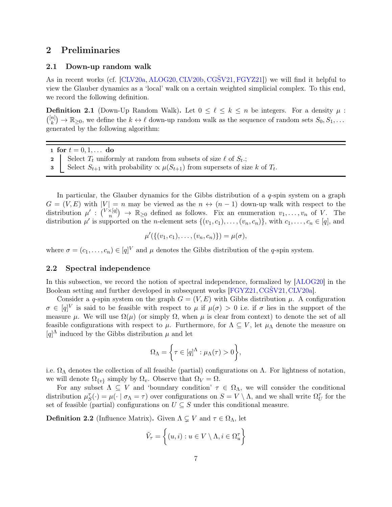# 2 Preliminaries

## 2.1 Down-up random walk

As in recent works (cf. [\[CLV20a,](#page-17-5) [ALOG20,](#page-17-0) [CLV20b,](#page-17-4) [CGŠV21,](#page-17-3) [FGYZ21\]](#page-17-2)) we will find it helpful to view the Glauber dynamics as a 'local' walk on a certain weighted simplicial complex. To this end, we record the following definition.

**Definition 2.1** (Down-Up Random Walk). Let  $0 \leq \ell \leq k \leq n$  be integers. For a density  $\mu$ :  $\binom{[n]}{k}$  $\mathbb{R}^{[n]}_{k}$   $\rightarrow \mathbb{R}_{\geq 0}$ , we define the  $k \leftrightarrow \ell$  down-up random walk as the sequence of random sets  $S_0, S_1, \ldots$ generated by the following algorithm:

1 for  $t = 0, 1, ...$  do

- 2 Select  $T_t$  uniformly at random from subsets of size  $\ell$  of  $S_t$ .;
- 3 Select  $S_{t+1}$  with probability  $\propto \mu(S_{t+1})$  from supersets of size k of  $T_t$ .

In particular, the Glauber dynamics for the Gibbs distribution of a  $q$ -spin system on a graph  $G = (V, E)$  with  $|V| = n$  may be viewed as the  $n \leftrightarrow (n-1)$  down-up walk with respect to the distribution  $\mu': \binom{V \times [q]}{n} \to \mathbb{R}_{\geq 0}$  defined as follows. Fix an enumeration  $v_1, \ldots, v_n$  of V. The distribution  $\mu'$  is supported on the *n*-element sets  $\{(v_1, c_1), \ldots, (v_n, c_n)\}\$ , with  $c_1, \ldots, c_n \in [q]$ , and

$$
\mu'(\{(v_1,c_1),\ldots,(v_n,c_n)\}) = \mu(\sigma),
$$

where  $\sigma = (c_1, \ldots, c_n) \in [q]^V$  and  $\mu$  denotes the Gibbs distribution of the q-spin system.

### <span id="page-7-0"></span>2.2 Spectral independence

In this subsection, we record the notion of spectral independence, formalized by [\[ALOG20\]](#page-17-0) in the Boolean setting and further developed in subsequent works [\[FGYZ21,](#page-17-2) CGSV21, [CLV20a\]](#page-17-5).

Consider a q-spin system on the graph  $G = (V, E)$  with Gibbs distribution  $\mu$ . A configuration  $\sigma \in [q]^V$  is said to be feasible with respect to  $\mu$  if  $\mu(\sigma) > 0$  i.e. if  $\sigma$  lies in the support of the measure  $\mu$ . We will use  $\Omega(\mu)$  (or simply  $\Omega$ , when  $\mu$  is clear from context) to denote the set of all feasible configurations with respect to  $\mu$ . Furthermore, for  $\Lambda \subseteq V$ , let  $\mu_{\Lambda}$  denote the measure on  $[q]^{\Lambda}$  induced by the Gibbs distribution  $\mu$  and let

$$
\Omega_{\Lambda} = \bigg\{\tau \in [q]^{\Lambda} : \mu_{\Lambda}(\tau) > 0\bigg\},\,
$$

i.e.  $\Omega_{\Lambda}$  denotes the collection of all feasible (partial) configurations on  $\Lambda$ . For lightness of notation, we will denote  $\Omega_{\{v\}}$  simply by  $\Omega_v$ . Observe that  $\Omega_V = \Omega$ .

For any subset  $\Lambda \subseteq V$  and 'boundary condition'  $\tau \in \Omega_{\Lambda}$ , we will consider the conditional distribution  $\mu_S^{\tau}(\cdot) = \mu(\cdot \mid \sigma_{\Lambda} = \tau)$  over configurations on  $S = V \setminus \Lambda$ , and we shall write  $\Omega_U^{\tau}$  for the set of feasible (partial) configurations on  $U \subseteq S$  under this conditional measure.

**Definition 2.2** (Influence Matrix). Given  $\Lambda \subsetneq V$  and  $\tau \in \Omega_{\Lambda}$ , let

$$
\tilde{V}_{\tau} = \left\{ (u, i) : u \in V \setminus \Lambda, i \in \Omega_u^{\tau} \right\}
$$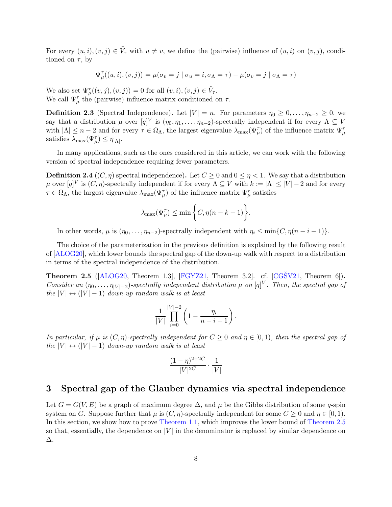For every  $(u, i), (v, j) \in \tilde{V}_{\tau}$  with  $u \neq v$ , we define the (pairwise) influence of  $(u, i)$  on  $(v, j)$ , conditioned on  $\tau$ , by

$$
\Psi^{\tau}_{\mu}((u,i),(v,j)) = \mu(\sigma_v = j \mid \sigma_u = i, \sigma_{\Lambda} = \tau) - \mu(\sigma_v = j \mid \sigma_{\Lambda} = \tau)
$$

We also set  $\Psi_{\mu}^{\tau}((v,j),(v,j)) = 0$  for all  $(v,i),(v,j) \in \tilde{V}_{\tau}$ . We call  $\Psi_{\mu}^{\tau}$  the (pairwise) influence matrix conditioned on  $\tau$ .

<span id="page-8-0"></span>**Definition 2.3** (Spectral Independence). Let  $|V| = n$ . For parameters  $\eta_0 \geq 0, \ldots, \eta_{n-2} \geq 0$ , we say that a distribution  $\mu$  over  $[q]^V$  is  $(\eta_0, \eta_1, \dots, \eta_{n-2})$ -spectrally independent if for every  $\Lambda \subseteq V$ with  $|\Lambda| \leq n-2$  and for every  $\tau \in \Omega_{\Lambda}$ , the largest eigenvalue  $\lambda_{\max}(\Psi_{\mu}^{\tau})$  of the influence matrix  $\Psi_{\mu}^{\tau}$ satisfies  $\lambda_{\max}(\Psi_{\mu}^{\tau}) \leq \eta_{|\Lambda|}$ .

In many applications, such as the ones considered in this article, we can work with the following version of spectral independence requiring fewer parameters.

**Definition 2.4** ((C,  $\eta$ ) spectral independence). Let  $C \ge 0$  and  $0 \le \eta < 1$ . We say that a distribution  $\mu$  over  $[q]^{V}$  is  $(C, \eta)$ -spectrally independent if for every  $\Lambda \subseteq V$  with  $k := |\Lambda| \leq |V| - 2$  and for every  $\tau \in \Omega_\Lambda$ , the largest eigenvalue  $\lambda_{\max}(\Psi_\mu^\tau)$  of the influence matrix  $\Psi_\mu^\tau$  satisfies

$$
\lambda_{\max}(\Psi^{\tau}_{\mu}) \leq \min \bigg\{ C, \eta(n-k-1) \bigg\}.
$$

In other words,  $\mu$  is  $(\eta_0, \ldots, \eta_{n-2})$ -spectrally independent with  $\eta_i \leq \min\{C, \eta(n-i-1)\}.$ 

The choice of the parameterization in the previous definition is explained by the following result of [\[ALOG20\]](#page-17-0), which lower bounds the spectral gap of the down-up walk with respect to a distribution in terms of the spectral independence of the distribution.

<span id="page-8-1"></span>**Theorem 2.5** ( $[ALOG20$ , Theorem 1.3,  $[FGYZ21]$ , Theorem 3.2.]. cf.  $[CGSV21]$ , Theorem 6.]. *Consider an*  $(\eta_0, \ldots, \eta_{|V|-2})$ -spectrally independent distribution  $\mu$  on  $[q]^V$ . Then, the spectral gap of *the*  $|V| \leftrightarrow (|V| - 1)$  *down-up random walk is at least* 

$$
\frac{1}{|V|} \prod_{i=0}^{|V|-2} \left(1 - \frac{\eta_i}{n-i-1}\right).
$$

*In particular, if*  $\mu$  *is*  $(C, \eta)$ *-spectrally independent for*  $C \geq 0$  *and*  $\eta \in [0, 1)$ *, then the spectral gap of the*  $|V| \leftrightarrow (|V| - 1)$  *down-up random walk is at least* 

$$
\frac{(1-\eta)^{2+2C}}{|V|^{2C}} \cdot \frac{1}{|V|}
$$

# 3 Spectral gap of the Glauber dynamics via spectral independence

Let  $G = G(V, E)$  be a graph of maximum degree  $\Delta$ , and  $\mu$  be the Gibbs distribution of some q-spin system on G. Suppose further that  $\mu$  is  $(C, \eta)$ -spectrally independent for some  $C \geq 0$  and  $\eta \in [0, 1)$ . In this section, we show how to prove [Theorem 1.1,](#page-4-0) which improves the lower bound of [Theorem 2.5](#page-8-1) so that, essentially, the dependence on  $|V|$  in the denominator is replaced by similar dependence on ∆.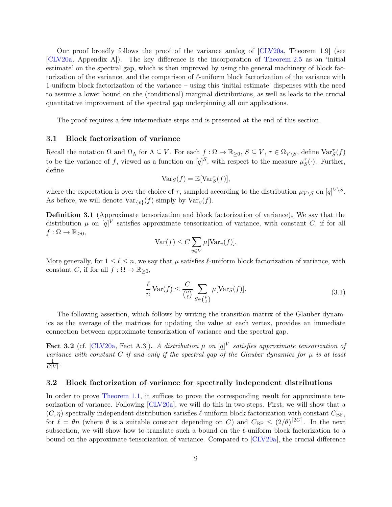Our proof broadly follows the proof of the variance analog of [\[CLV20a,](#page-17-5) Theorem 1.9] (see [\[CLV20a,](#page-17-5) Appendix A]). The key difference is the incorporation of [Theorem 2.5](#page-8-1) as an 'initial estimate' on the spectral gap, which is then improved by using the general machinery of block factorization of the variance, and the comparison of  $\ell$ -uniform block factorization of the variance with 1-uniform block factorization of the variance – using this 'initial estimate' dispenses with the need to assume a lower bound on the (conditional) marginal distributions, as well as leads to the crucial quantitative improvement of the spectral gap underpinning all our applications.

The proof requires a few intermediate steps and is presented at the end of this section.

#### 3.1 Block factorization of variance

Recall the notation  $\Omega$  and  $\Omega_{\Lambda}$  for  $\Lambda \subseteq V$ . For each  $f: \Omega \to \mathbb{R}_{\geq 0}$ ,  $S \subseteq V$ ,  $\tau \in \Omega_{V \setminus S}$ , define  $\text{Var}_{S}^{\tau}(f)$ to be the variance of f, viewed as a function on  $[q]^S$ , with respect to the measure  $\mu_S^{\tau}(\cdot)$ . Further, define

$$
\text{Var}_S(f) = \mathbb{E}[\text{Var}_S^{\tau}(f)],
$$

where the expectation is over the choice of  $\tau$ , sampled according to the distribution  $\mu_{V \setminus S}$  on  $[q]^{V \setminus S}$ . As before, we will denote  $Var_{\{v\}}(f)$  simply by  $Var_v(f)$ .

Definition 3.1 (Approximate tensorization and block factorization of variance). We say that the distribution  $\mu$  on  $[q]^{V}$  satisfies approximate tensorization of variance, with constant C, if for all  $f : \Omega \to \mathbb{R}_{\geq 0},$ 

$$
\text{Var}(f) \le C \sum_{v \in V} \mu[\text{Var}_v(f)].
$$

More generally, for  $1 \leq \ell \leq n$ , we say that  $\mu$  satisfies  $\ell$ -uniform block factorization of variance, with constant C, if for all  $f : \Omega \to \mathbb{R}_{\geq 0}$ ,

$$
\frac{\ell}{n} \text{Var}(f) \le \frac{C}{\binom{n}{\ell}} \sum_{S \in \binom{V}{\ell}} \mu[\text{Var}_S(f)].\tag{3.1}
$$

The following assertion, which follows by writing the transition matrix of the Glauber dynamics as the average of the matrices for updating the value at each vertex, provides an immediate connection between approximate tensorization of variance and the spectral gap.

<span id="page-9-0"></span>Fact 3.2 (cf.  $\text{[CLV20a, Fact A.3]}$ ). *A distribution*  $\mu$  *on*  $[q]^V$  *satisfies approximate tensorization of variance with constant* C *if and only if the spectral gap of the Glauber dynamics for*  $\mu$  *is at least* 1  $\frac{1}{C|V|}$ .

#### 3.2 Block factorization of variance for spectrally independent distributions

In order to prove [Theorem 1.1,](#page-4-0) it suffices to prove the corresponding result for approximate tensorization of variance. Following [\[CLV20a\]](#page-17-5), we will do this in two steps. First, we will show that a  $(C, \eta)$ -spectrally independent distribution satisfies  $\ell$ -uniform block factorization with constant  $C_{\text{BF}}$ , for  $\ell = \theta n$  (where  $\theta$  is a suitable constant depending on C) and  $C_{BF} \leq (2/\theta)^{[2C]}$ . In the next subsection, we will show how to translate such a bound on the  $\ell$ -uniform block factorization to a bound on the approximate tensorization of variance. Compared to [\[CLV20a\]](#page-17-5), the crucial difference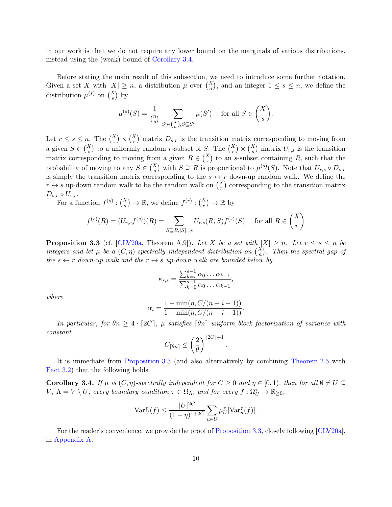in our work is that we do not require any lower bound on the marginals of various distributions, instead using the (weak) bound of [Corollary 3.4.](#page-10-0)

Before stating the main result of this subsection, we need to introduce some further notation. Given a set X with  $|X| \geq n$ , a distribution  $\mu$  over  $\binom{X}{n}$ , and an integer  $1 \leq s \leq n$ , we define the distribution  $\mu^{(s)}$  on  $\binom{X}{s}$  by

$$
\mu^{(s)}(S) = \frac{1}{\binom{n}{s}} \sum_{S' \in \binom{X}{n}, S \subseteq S'} \mu(S') \quad \text{ for all } S \in \binom{X}{s}.
$$

Let  $r \leq s \leq n$ . The  $\binom{X}{s} \times \binom{X}{r}$  matrix  $D_{s,r}$  is the transition matrix corresponding to moving from a given  $S \in \binom{X}{s}$  to a uniformly random r-subset of S. The  $\binom{X}{r} \times \binom{X}{s}$  matrix  $U_{r,s}$  is the transition matrix corresponding to moving from a given  $R \in \binom{X}{r}$  to an s-subset containing R, such that the probability of moving to any  $S \in {X \choose s}$  with  $S \supseteq R$  is proportional to  $\mu^{(s)}(S)$ . Note that  $U_{r,s} \circ D_{s,r}$ is simply the transition matrix corresponding to the  $s \leftrightarrow r$  down-up random walk. We define the  $r \leftrightarrow s$  up-down random walk to be the random walk on  $\binom{X}{r}$  corresponding to the transition matrix  $D_{s,r} \circ U_{r,s}.$ 

For a function  $f^{(s)}: \binom{X}{s} \to \mathbb{R}$ , we define  $f^{(r)}: \binom{X}{r} \to \mathbb{R}$  by

$$
f^{(r)}(R) = (U_{r,s}f^{(s)})(R) = \sum_{S \supseteq R, |S|=s} U_{r,s}(R,S)f^{(s)}(S) \quad \text{ for all } R \in \binom{X}{r}
$$

<span id="page-10-1"></span>**Proposition 3.3** (cf. [\[CLV20a,](#page-17-5) Theorem A.9]). Let X be a set with  $|X| \ge n$ . Let  $r \le s \le n$  be *integers and let*  $\mu$  *be a*  $(C, \eta)$ -spectrally independent distribution on  $\binom{X}{n}$ . Then the spectral gap of *the*  $s \leftrightarrow r$  *down-up walk and the*  $r \leftrightarrow s$  *up-down walk are bounded below by* 

$$
\kappa_{r,s} = \frac{\sum_{k=r}^{s-1} \alpha_0 \dots \alpha_{k-1}}{\sum_{k=0}^{s-1} \alpha_0 \dots \alpha_{k-1}},
$$

*where*

$$
\alpha_i = \frac{1 - \min(\eta, C/(n - i - 1))}{1 + \min(\eta, C/(n - i - 1))}.
$$

*In particular, for*  $\theta n \geq 4 \cdot [2C]$ *,*  $\mu$  *satisfies*  $[\theta n]$ *-uniform block factorization of variance with constant*

$$
C_{\lceil \theta n \rceil} \leq \left(\frac{2}{\theta}\right)^{\lceil 2C \rceil + 1}.
$$

<span id="page-10-0"></span>It is immediate from [Proposition 3.3](#page-10-1) (and also alternatively by combining [Theorem 2.5](#page-8-1) with [Fact 3.2\)](#page-9-0) that the following holds.

Corollary 3.4. *If*  $\mu$  *is*  $(C, \eta)$ *-spectrally independent for*  $C \geq 0$  *and*  $\eta \in [0, 1)$ *, then for all*  $\emptyset \neq U \subseteq$  $V, \Lambda = V \setminus U$ , every boundary condition  $\tau \in \Omega_{\Lambda}$ , and for every  $f: \Omega^{\tau}_U \to \mathbb{R}_{\geq 0}$ ,

$$
\operatorname{Var}_{U}^{\tau}(f) \le \frac{|U|^{2C}}{(1-\eta)^{1+2C}} \sum_{u \in U} \mu_{U}^{\tau}[\operatorname{Var}_{u}^{\tau}(f)].
$$

For the reader's convenience, we provide the proof of [Proposition 3.3,](#page-10-1) closely following [\[CLV20a\]](#page-17-5), in [Appendix A.](#page-13-0)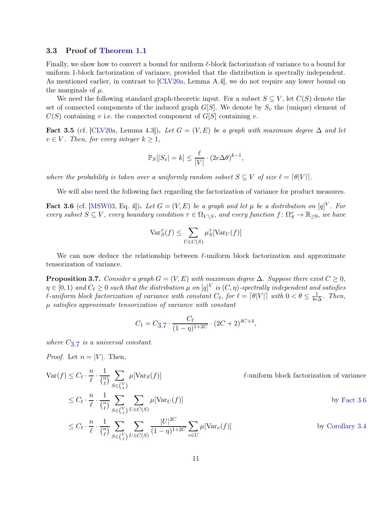#### 3.3 Proof of [Theorem 1.1](#page-4-0)

Finally, we show how to convert a bound for uniform ℓ-block factorization of variance to a bound for uniform 1-block factorization of variance, provided that the distribution is spectrally independent. As mentioned earlier, in contrast to [\[CLV20a,](#page-17-5) Lemma A.4], we do not require any lower bound on the marginals of  $\mu$ .

We need the following standard graph-theoretic input. For a subset  $S \subseteq V$ , let  $C(S)$  denote the set of connected components of the induced graph  $G[S]$ . We denote by  $S_v$  the (unique) element of  $C(S)$  containing v i.e. the connected component of  $G[S]$  containing v.

<span id="page-11-2"></span>Fact 3.5 (cf. [\[CLV20a,](#page-17-5) Lemma 4.3]). Let  $G = (V, E)$  be a graph with maximum degree  $\Delta$  and let  $v \in V$ *. Then, for every integer*  $k \geq 1$ *,* 

$$
\mathbb{P}_S[|S_v| = k] \le \frac{\ell}{|V|} \cdot (2e\Delta\theta)^{k-1},
$$

*where the probability is taken over a uniformly random subset*  $S \subseteq V$  *of size*  $\ell = [\theta|V|]$ .

<span id="page-11-1"></span>We will also need the following fact regarding the factorization of variance for product measures.

Fact 3.6 (cf. [\[MSW03,](#page-18-8) Eq. 4]). Let  $G = (V, E)$  be a graph and let  $\mu$  be a distribution on  $[q]^V$ . For  $every$  subset  $S \subseteq V$ , every boundary condition  $\tau \in \Omega_{V \setminus S}$ , and every function  $f: \Omega_S^{\tau} \to \mathbb{R}_{\geq 0}$ , we have

$$
\text{Var}_S^{\tau}(f) \le \sum_{U \in C(S)} \mu_S^{\tau}[\text{Var}_U(f)]
$$

<span id="page-11-0"></span>We can now deduce the relationship between  $\ell$ -uniform block factorization and approximate tensorization of variance.

**Proposition 3.7.** *Consider a graph*  $G = (V, E)$  *with maximum degree*  $\Delta$ *. Suppose there exist*  $C \geq 0$ *,*  $\eta \in [0,1)$  and  $C_{\ell} \geq 0$  such that the distribution  $\mu$  on  $[q]^V$  is  $(C, \eta)$ -spectrally independent and satisfies  $\ell$ -uniform block factorization of variance with constant  $C_{\ell}$ , for  $\ell = \lceil \theta |V| \rceil$  with  $0 < \theta \leq \frac{1}{4e}$ . 4e∆ *. Then,* µ *satisfies approximate tensorization of variance with constant*

$$
C_1 = C_{3.7} \cdot \frac{C_{\ell}}{(1 - \eta)^{1 + 2C}} \cdot (2C + 2)^{4C + 4},
$$

*where* C[3](#page-11-0).7 *is a universal constant.*

*Proof.* Let  $n = |V|$ . Then,

 $\text{Var}(f) \leq C_{\ell}$ . n  $\overline{\ell}$  . 1  $\binom{n}{a}$  $\binom{n}{\ell}$  $\blacktriangledown$  $S\in\binom{V}{\ell}$  $\ell$ -uniform block factorization of variance  $\leq C_{\ell}$ . n  $\overline{\ell}$  . 1  $\binom{n}{a}$  $\binom{n}{\ell}$  $\blacktriangledown$  $S\in\binom{V}{\ell}$  $\ell$  $\sum$  $U\in C(S)$  $\mu[\text{Var}_U(f)]$  by [Fact 3.6](#page-11-1)  $\leq C_{\ell}$ . n  $\overline{\ell}$  . 1  $\binom{n}{a}$  $\binom{n}{\ell}$  $\overline{\phantom{0}}$  $S\in\binom{V}{\ell}$  $\overline{\phantom{0}}$  $U\in C(S)$  $|U|^{2C}$  $(1 - \eta)^{1+2C}$  $\overline{\phantom{0}}$  $v \in U$ by [Corollary 3.4](#page-10-0)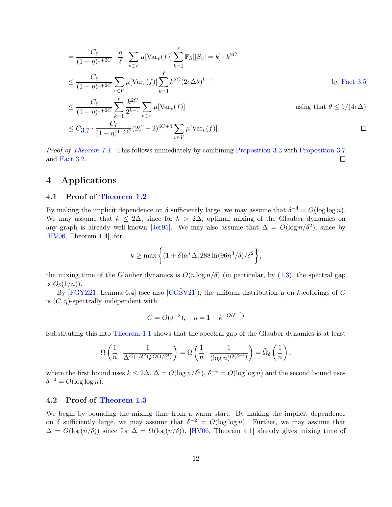$$
= \frac{C_{\ell}}{(1-\eta)^{1+2C}} \cdot \frac{n}{\ell} \cdot \sum_{v \in V} \mu[\text{Var}_{v}(f)] \sum_{k=1}^{\ell} \mathbb{P}_{S}[|S_{v}| = k] \cdot k^{2C}
$$
  

$$
\leq \frac{C_{\ell}}{(1-\eta)^{1+2C}} \sum_{v \in V} \mu[\text{Var}_{v}(f)] \sum_{k=1}^{\ell} k^{2C} (2e\Delta\theta)^{k-1}
$$
by Fact 3.5  

$$
< \frac{C_{\ell}}{\sqrt{\ell}} \sum_{k=1}^{\ell} \frac{k^{2C}}{k} \sum_{v \in V} \mu[\text{Var}_{v}(f)]
$$
using that  $\theta \leq 1/(4e\Delta)$ 

$$
\leq \frac{C_{\ell}}{(1-\eta)^{1+2C}} \sum_{k=1}^{\infty} \frac{n}{2^{k-1}} \sum_{v \in V} \mu[\text{Var}_v(f)] \qquad \text{using that } \theta \leq 1/(4e\Delta)
$$
  

$$
\leq C_{3.7} \cdot \frac{C_{\ell}}{(1-\eta)^{1+2C}} (2C+2)^{4C+4} \sum_{v \in V} \mu[\text{Var}_v(f)]. \qquad \Box
$$

*Proof of [Theorem 1.1.](#page-4-0)* This follows immediately by combining [Proposition 3.3](#page-10-1) with [Proposition 3.7](#page-11-0) and [Fact 3.2.](#page-9-0) 口

# 4 Applications

## 4.1 Proof of [Theorem 1.2](#page-5-0)

By making the implicit dependence on  $\delta$  sufficiently large, we may assume that  $\delta^{-4} = O(\log \log n)$ . We may assume that  $k \leq 2\Delta$ , since for  $k > 2\Delta$ , optimal mixing of the Glauber dynamics on any graph is already well-known [\[Jer95\]](#page-18-9). We may also assume that  $\Delta = O(\log n/\delta^2)$ , since by [\[HV06,](#page-17-8) Theorem 1.4], for

> $k \geq \max \left\{ (1+\delta)\alpha^* \Delta, 288 \ln(96n^3/\delta)/\delta^2 \right\}$ ,

the mixing time of the Glauber dynamics is  $O(n \log n/\delta)$  (in particular, by  $(1.3)$ , the spectral gap is  $\tilde{O}_{\delta}(1/n)$ ).

By [\[FGYZ21,](#page-17-2) Lemma 6.4] (see also [CGSV21]), the uniform distribution  $\mu$  on k-colorings of G is  $(C, \eta)$ -spectrally independent with

$$
C = O(\delta^{-2}), \quad \eta = 1 - k^{-O(\delta^{-2})}
$$

Substituting this into [Theorem 1.1](#page-4-0) shows that the spectral gap of the Glauber dynamics is at least

$$
\Omega\left(\frac{1}{n}\cdot \frac{1}{\Delta^{O(1/\delta^2)}k^{O(1/\delta^4)}}\right)=\Omega\left(\frac{1}{n}\cdot \frac{1}{(\log n)^{O(\delta^{-4})}}\right)=\tilde{\Omega}_{\delta}\left(\frac{1}{n}\right),
$$

where the first bound uses  $k \le 2\Delta$ ,  $\Delta = O(\log n/\delta^2)$ ,  $\delta^{-4} = O(\log \log n)$  and the second bound uses  $\delta^{-4} = O(\log \log n).$ 

#### 4.2 Proof of [Theorem 1.3](#page-5-1)

We begin by bounding the mixing time from a warm start. By making the implicit dependence on  $\delta$  sufficiently large, we may assume that  $\delta^{-2} = O(\log \log n)$ . Further, we may assume that  $\Delta = O(\log(n/\delta))$  since for  $\Delta = \Omega(\log(n/\delta))$ , [\[HV06,](#page-17-8) Theorem 4.1] already gives mixing time of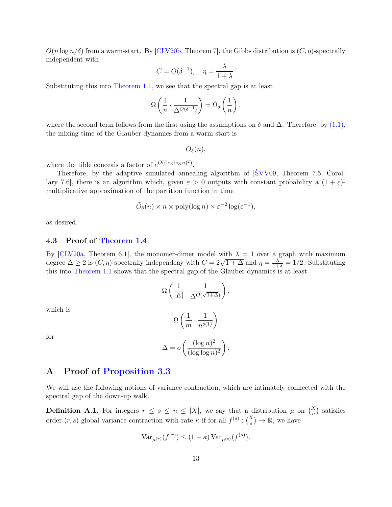$O(n \log n/\delta)$  from a warm-start. By CLV20b, Theorem 7, the Gibbs distribution is  $(C, \eta)$ -spectrally independent with

$$
C = O(\delta^{-1}), \quad \eta = \frac{\lambda}{1 + \lambda}.
$$

Substituting this into [Theorem 1.1,](#page-4-0) we see that the spectral gap is at least

$$
\Omega\left(\frac{1}{n}\cdot\frac{1}{\Delta^{O(\delta^{-1})}}\right)=\tilde{\Omega}_{\delta}\left(\frac{1}{n}\right),
$$

where the second term follows from the first using the assumptions on  $\delta$  and  $\Delta$ . Therefore, by [\(1.1\),](#page-4-2) the mixing time of the Glauber dynamics from a warm start is

$$
\tilde{O}_\delta(n),
$$

where the tilde conceals a factor of  $e^{O((\log \log n)^2)}$ .

Therefore, by the adaptive simulated annealing algorithm of [\[ŠVV09,](#page-18-7) Theorem 7.5, Corollary 7.6], there is an algorithm which, given  $\varepsilon > 0$  outputs with constant probability a  $(1 + \varepsilon)$ multiplicative approximation of the partition function in time

$$
\tilde{O}_{\delta}(n) \times n \times \text{poly}(\log n) \times \varepsilon^{-2} \log(\varepsilon^{-1}),
$$

as desired.

#### 4.3 Proof of [Theorem 1.4](#page-6-0)

By [\[CLV20a,](#page-17-5) Theorem 6.1], the monomer-dimer model with  $\lambda = 1$  over a graph with maximum degree  $\Delta \geq 2$  is  $(C, \eta)$ -spectrally independeny with  $C = 2\sqrt{1+\Delta}$  and  $\eta = \frac{\lambda}{1+\lambda} = 1/2$ . Substituting this into [Theorem 1.1](#page-4-0) shows that the spectral gap of the Glauber dynamics is at least

$$
\Omega\left(\frac{1}{|E|}\cdot \frac{1}{\Delta^{O(\sqrt{1+\Delta})}}\right),
$$

which is

$$
\Omega\left(\frac{1}{m}\cdot\frac{1}{n^{o(1)}}\right)
$$

for

$$
\Delta = o\left(\frac{(\log n)^2}{(\log \log n)^2}\right).
$$

# <span id="page-13-0"></span>A Proof of [Proposition 3.3](#page-10-1)

We will use the following notions of variance contraction, which are intimately connected with the spectral gap of the down-up walk.

**Definition A.1.** For integers  $r \leq s \leq n \leq |X|$ , we say that a distribution  $\mu$  on  $\binom{X}{n}$  satisfies order- $(r, s)$  global variance contraction with rate  $\kappa$  if for all  $f^{(s)} : \binom{X}{s} \to \mathbb{R}$ , we have

$$
Var_{\mu^{(r)}}(f^{(r)}) \le (1 - \kappa) Var_{\mu^{(s)}}(f^{(s)}).
$$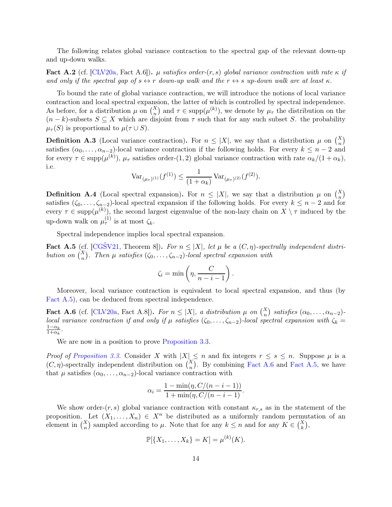The following relates global variance contraction to the spectral gap of the relevant down-up and up-down walks.

Fact A.2 (cf.  $[CLV20a, Fact A.6]$ ).  $\mu$  *satisfies order-* $(r, s)$  *global variance contraction with rate*  $\kappa$  *if and only if the spectral gap of*  $s \leftrightarrow r$  *down-up walk and the*  $r \leftrightarrow s$  *up-down walk are at least*  $\kappa$ *.* 

To bound the rate of global variance contraction, we will introduce the notions of local variance contraction and local spectral expansion, the latter of which is controlled by spectral independence. As before, for a distribution  $\mu$  on  $\binom{X}{n}$  and  $\tau \in \text{supp}(\mu^{(k)})$ , we denote by  $\mu_{\tau}$  the distribution on the  $(n - k)$ -subsets  $S \subseteq X$  which are disjoint from  $\tau$  such that for any such subset S. the probability  $\mu_{\tau}(S)$  is proportional to  $\mu(\tau \cup S)$ .

**Definition A.3** (Local variance contraction). For  $n \leq |X|$ , we say that a distribution  $\mu$  on  $\binom{X}{n}$ satisfies  $(\alpha_0, \ldots, \alpha_{n-2})$ -local variance contraction if the following holds. For every  $k \leq n-2$  and for every  $\tau \in \text{supp}(\mu^{(k)})$ ,  $\mu_{\tau}$  satisfies order-(1,2) global variance contraction with rate  $\alpha_k/(1+\alpha_k)$ , i.e.

$$
\text{Var}_{(\mu_{\tau})^{(1)}}(f^{(1)}) \le \frac{1}{(1+\alpha_k)} \text{Var}_{(\mu_{\tau})^{(2)}}(f^{(2)}).
$$

**Definition A.4** (Local spectral expansion). For  $n \leq |X|$ , we say that a distribution  $\mu$  on  $\binom{X}{n}$ satisfies  $(\zeta_0, \ldots, \zeta_{n-2})$ -local spectral expansion if the following holds. For every  $k \leq n-2$  and for every  $\tau \in \text{supp}(\mu^{(k)})$ , the second largest eigenvalue of the non-lazy chain on  $X \setminus \tau$  induced by the up-down walk on  $\mu_{\tau}^{(1)}$  is at most  $\zeta_k$ .

<span id="page-14-0"></span>Spectral independence implies local spectral expansion.

Fact A.5 (cf.  $[CG\text{\r{S}}V21, Theorem 8]$ ). For  $n \leq |X|$ , let  $\mu$  be a  $(C, \eta)$ -spectrally independent distri*bution on*  $\binom{X}{n}$ . Then  $\mu$  *satisfies*  $(\zeta_0, \ldots, \zeta_{n-2})$ *-local spectral expansion with* 

$$
\zeta_i = \min\left(\eta, \frac{C}{n-i-1}\right).
$$

<span id="page-14-1"></span>Moreover, local variance contraction is equivalent to local spectral expansion, and thus (by [Fact A.5\)](#page-14-0), can be deduced from spectral independence.

**Fact A.6** (cf. [\[CLV20a,](#page-17-5) Fact A.8]). *For*  $n \leq |X|$ , a distribution  $\mu$  on  $\binom{X}{n}$  satisfies  $(\alpha_0, \ldots, \alpha_{n-2})$ *local variance contraction if and only if*  $\mu$  *satisfies* ( $\zeta_0, \ldots, \zeta_{n-2}$ )*-local spectral expansion with*  $\zeta_k =$  $\frac{1-\alpha_k}{1+\alpha_k}$ .

We are now in a position to prove [Proposition 3.3.](#page-10-1)

*Proof of [Proposition 3.3.](#page-10-1)* Consider X with  $|X| \leq n$  and fix integers  $r \leq s \leq n$ . Suppose  $\mu$  is a  $(C, \eta)$ -spectrally independent distribution on  $\binom{X}{n}$ . By combining [Fact A.6](#page-14-1) and [Fact A.5,](#page-14-0) we have that  $\mu$  satisfies  $(\alpha_0, \ldots, \alpha_{n-2})$ -local variance contraction with

$$
\alpha_i = \frac{1 - \min(\eta, C/(n - i - 1))}{1 + \min(\eta, C/(n - i - 1))}.
$$

We show order- $(r, s)$  global variance contraction with constant  $\kappa_{r,s}$  as in the statement of the proposition. Let  $(X_1, \ldots, X_n) \in X^n$  be distributed as a uniformly random permutation of an element in  $\binom{X}{n}$  sampled according to  $\mu$ . Note that for any  $k \leq n$  and for any  $K \in \binom{X}{k}$ ,

$$
\mathbb{P}[\{X_1, \ldots, X_k\} = K] = \mu^{(k)}(K).
$$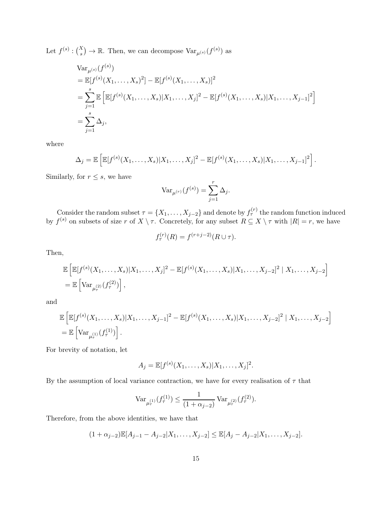Let  $f^{(s)}: \binom{X}{s} \to \mathbb{R}$ . Then, we can decompose  $\text{Var}_{\mu^{(s)}}(f^{(s)})$  as

$$
\begin{aligned} &\text{Var}_{\mu^{(s)}}(f^{(s)})\\ &= \mathbb{E}[f^{(s)}(X_1,\ldots,X_s)^2] - \mathbb{E}[f^{(s)}(X_1,\ldots,X_s)]^2\\ &= \sum_{j=1}^s \mathbb{E}\left[\mathbb{E}[f^{(s)}(X_1,\ldots,X_s)|X_1,\ldots,X_j]^2 - \mathbb{E}[f^{(s)}(X_1,\ldots,X_s)|X_1,\ldots,X_{j-1}]^2\right] \\ &= \sum_{j=1}^s \Delta_j, \end{aligned}
$$

where

$$
\Delta_j = \mathbb{E}\left[\mathbb{E}[f^{(s)}(X_1,\ldots,X_s)|X_1,\ldots,X_j]^2 - \mathbb{E}[f^{(s)}(X_1,\ldots,X_s)|X_1,\ldots,X_{j-1}]^2\right].
$$

Similarly, for  $r\leq s,$  we have

$$
\text{Var}_{\mu^{(r)}}(f^{(s)}) = \sum_{j=1}^{r} \Delta_j.
$$

Consider the random subset  $\tau = \{X_1, \ldots, X_{j-2}\}\$  and denote by  $f_{\tau}^{(r)}$  the random function induced by  $f^{(s)}$  on subsets of size r of  $X \setminus \tau$ . Concretely, for any subset  $R \subseteq X \setminus \tau$  with  $|R| = r$ , we have

$$
f_{\tau}^{(r)}(R) = f^{(r+j-2)}(R \cup \tau).
$$

Then,

$$
\mathbb{E}\left[\mathbb{E}[f^{(s)}(X_1,\ldots,X_s)|X_1,\ldots,X_j]^2 - \mathbb{E}[f^{(s)}(X_1,\ldots,X_s)|X_1,\ldots,X_{j-2}]^2 \mid X_1,\ldots,X_{j-2}\right]
$$
  
=  $\mathbb{E}\left[\text{Var}_{\mu^{(2)}_r}(f^{(2)}_r)\right],$ 

and

$$
\mathbb{E}\left[\mathbb{E}[f^{(s)}(X_1,\ldots,X_s)|X_1,\ldots,X_{j-1}]^2 - \mathbb{E}[f^{(s)}(X_1,\ldots,X_s)|X_1,\ldots,X_{j-2}]^2 \mid X_1,\ldots,X_{j-2}\right]
$$
  
=  $\mathbb{E}\left[\text{Var}_{\mu_r^{(1)}}(f_r^{(1)})\right].$ 

For brevity of notation, let

$$
A_j = \mathbb{E}[f^{(s)}(X_1, \dots, X_s)|X_1, \dots, X_j]^2.
$$

By the assumption of local variance contraction, we have for every realisation of  $\tau$  that

$$
\textup{\text{Var}}_{\mu^{(1)}_\tau}(f^{(1)}_\tau)\leq \frac{1}{(1+\alpha_{j-2})}\, \textup{\text{Var}}_{\mu^{(2)}_\tau}(f^{(2)}_\tau).
$$

Therefore, from the above identities, we have that

$$
(1+\alpha_{j-2})\mathbb{E}[A_{j-1}-A_{j-2}|X_1,\ldots,X_{j-2}]\leq \mathbb{E}[A_j-A_{j-2}|X_1,\ldots,X_{j-2}].
$$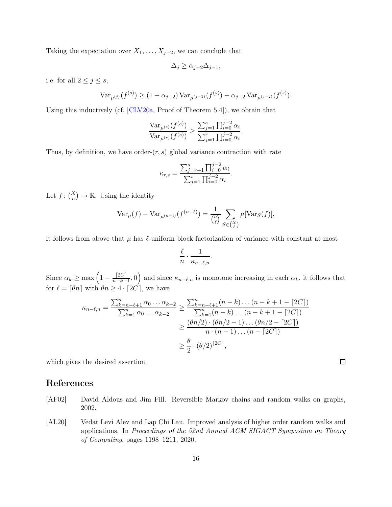Taking the expectation over  $X_1, \ldots, X_{j-2}$ , we can conclude that

$$
\Delta_j \ge \alpha_{j-2}\Delta_{j-1},
$$

i.e. for all  $2 \leq j \leq s$ ,

$$
\text{Var}_{\mu^{(j)}}(f^{(s)}) \ge (1 + \alpha_{j-2}) \text{Var}_{\mu^{(j-1)}}(f^{(s)}) - \alpha_{j-2} \text{Var}_{\mu^{(j-2)}}(f^{(s)}).
$$

Using this inductively (cf. [\[CLV20a,](#page-17-5) Proof of Theorem 5.4]), we obtain that

$$
\frac{\text{Var}_{\mu^{(s)}}(f^{(s)})}{\text{Var}_{\mu^{(r)}}(f^{(s)})} \ge \frac{\sum_{j=1}^s \prod_{i=0}^{j-2} \alpha_i}{\sum_{j=1}^r \prod_{i=0}^{j-2} \alpha_i}.
$$

Thus, by definition, we have order- $(r, s)$  global variance contraction with rate

$$
\kappa_{r,s} = \frac{\sum_{j=r+1}^{s} \prod_{i=0}^{j-2} \alpha_i}{\sum_{j=1}^{s} \prod_{i=0}^{j-2} \alpha_i}.
$$

Let  $f: \binom{X}{n} \to \mathbb{R}$ . Using the identity

$$
\text{Var}_{\mu}(f) - \text{Var}_{\mu^{(n-\ell)}}(f^{(n-\ell)}) = \frac{1}{\binom{n}{\ell}} \sum_{S \in \binom{X}{\ell}} \mu[\text{Var}_S(f)],
$$

it follows from above that  $\mu$  has  $\ell$ -uniform block factorization of variance with constant at most

$$
\frac{\ell}{n} \cdot \frac{1}{\kappa_{n-\ell,n}}.
$$

Since  $\alpha_k \geq \max\left(1 - \frac{\lceil 2C \rceil}{n-k} \right)$  $\frac{[2C]}{n-k-1}$ , 0) and since  $\kappa_{n-\ell,n}$  is monotone increasing in each  $\alpha_k$ , it follows that for  $\ell = \lceil \theta n \rceil$  with  $\theta n \geq 4 \cdot \lceil 2C \rceil$ , we have

$$
\kappa_{n-\ell,n} = \frac{\sum_{k=n-\ell+1}^{n} \alpha_0 \dots \alpha_{k-2}}{\sum_{k=1}^{n} \alpha_0 \dots \alpha_{k-2}} \ge \frac{\sum_{k=n-\ell+1}^{n} (n-k) \dots (n-k+1-[2C])}{\sum_{k=1}^{n} (n-k) \dots (n-k+1-[2C])}
$$
  

$$
\ge \frac{(\theta n/2) \cdot (\theta n/2 - 1) \dots (\theta n/2-[2C])}{n \cdot (n-1) \dots (n-[2C])}
$$
  

$$
\ge \frac{\theta}{2} \cdot (\theta/2)^{[2C]},
$$

which gives the desired assertion.

## References

- <span id="page-16-0"></span>[AF02] David Aldous and Jim Fill. Reversible Markov chains and random walks on graphs, 2002.
- <span id="page-16-1"></span>[AL20] Vedat Levi Alev and Lap Chi Lau. Improved analysis of higher order random walks and applications. In *Proceedings of the 52nd Annual ACM SIGACT Symposium on Theory of Computing*, pages 1198–1211, 2020.

 $\Box$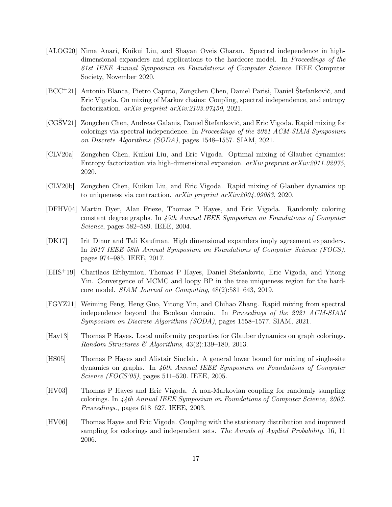- <span id="page-17-0"></span>[ALOG20] Nima Anari, Kuikui Liu, and Shayan Oveis Gharan. Spectral independence in highdimensional expanders and applications to the hardcore model. In *Proceedings of the 61st IEEE Annual Symposium on Foundations of Computer Science*. IEEE Computer Society, November 2020.
- <span id="page-17-6"></span>[BCC+21] Antonio Blanca, Pietro Caputo, Zongchen Chen, Daniel Parisi, Daniel Štefankovič, and Eric Vigoda. On mixing of Markov chains: Coupling, spectral independence, and entropy factorization. *arXiv preprint arXiv:2103.07459*, 2021.
- <span id="page-17-3"></span>[CGŠV21] Zongchen Chen, Andreas Galanis, Daniel Štefankovič, and Eric Vigoda. Rapid mixing for colorings via spectral independence. In *Proceedings of the 2021 ACM-SIAM Symposium on Discrete Algorithms (SODA)*, pages 1548–1557. SIAM, 2021.
- <span id="page-17-5"></span>[CLV20a] Zongchen Chen, Kuikui Liu, and Eric Vigoda. Optimal mixing of Glauber dynamics: Entropy factorization via high-dimensional expansion. *arXiv preprint arXiv:2011.02075*, 2020.
- <span id="page-17-4"></span>[CLV20b] Zongchen Chen, Kuikui Liu, and Eric Vigoda. Rapid mixing of Glauber dynamics up to uniqueness via contraction. *arXiv preprint arXiv:2004.09083*, 2020.
- <span id="page-17-11"></span>[DFHV04] Martin Dyer, Alan Frieze, Thomas P Hayes, and Eric Vigoda. Randomly coloring constant degree graphs. In *45th Annual IEEE Symposium on Foundations of Computer Science*, pages 582–589. IEEE, 2004.
- <span id="page-17-1"></span>[DK17] Irit Dinur and Tali Kaufman. High dimensional expanders imply agreement expanders. In *2017 IEEE 58th Annual Symposium on Foundations of Computer Science (FOCS)*, pages 974–985. IEEE, 2017.
- <span id="page-17-12"></span>[EHS+19] Charilaos Efthymiou, Thomas P Hayes, Daniel Stefankovic, Eric Vigoda, and Yitong Yin. Convergence of MCMC and loopy BP in the tree uniqueness region for the hardcore model. *SIAM Journal on Computing*, 48(2):581–643, 2019.
- <span id="page-17-2"></span>[FGYZ21] Weiming Feng, Heng Guo, Yitong Yin, and Chihao Zhang. Rapid mixing from spectral independence beyond the Boolean domain. In *Proceedings of the 2021 ACM-SIAM Symposium on Discrete Algorithms (SODA)*, pages 1558–1577. SIAM, 2021.
- <span id="page-17-10"></span>[Hay13] Thomas P Hayes. Local uniformity properties for Glauber dynamics on graph colorings. *Random Structures & Algorithms*, 43(2):139–180, 2013.
- <span id="page-17-7"></span>[HS05] Thomas P Hayes and Alistair Sinclair. A general lower bound for mixing of single-site dynamics on graphs. In *46th Annual IEEE Symposium on Foundations of Computer Science (FOCS'05)*, pages 511–520. IEEE, 2005.
- <span id="page-17-9"></span>[HV03] Thomas P Hayes and Eric Vigoda. A non-Markovian coupling for randomly sampling colorings. In *44th Annual IEEE Symposium on Foundations of Computer Science, 2003. Proceedings.*, pages 618–627. IEEE, 2003.
- <span id="page-17-8"></span>[HV06] Thomas Hayes and Eric Vigoda. Coupling with the stationary distribution and improved sampling for colorings and independent sets. *The Annals of Applied Probability*, 16, 11 2006.